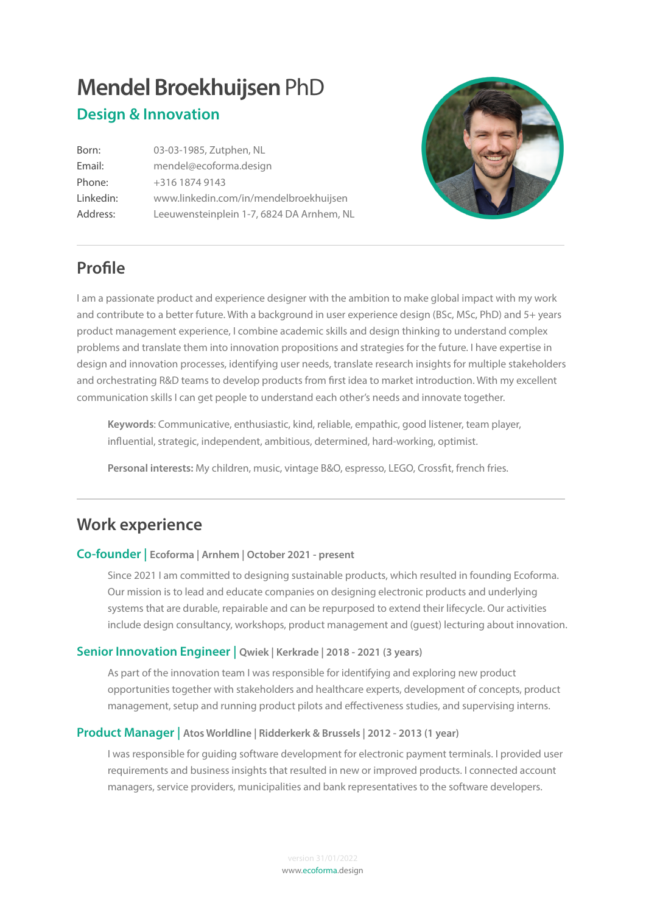# **Mendel Broekhuijsen** PhD **Design & Innovation**

Born: 03-03-1985, Zutphen, NL Email: [mendel@ecoforma.design](mailto:mendel@ecoforma.design) Phone: +316 1874 9143 Linkedin: [www.linkedin.com/in/mendelbroekhuijsen](http://www.linkedin.com/in/mendelbroekhuijsen) Address: Leeuwensteinplein 1-7, 6824 DA Arnhem, NL



## **Profle**

I am a passionate product and experience designer with the ambition to make global impact with my work and contribute to a better future. With a background in user experience design (BSc, MSc, PhD) and 5+ years product management experience, I combine academic skills and design thinking to understand complex problems and translate them into innovation propositions and strategies for the future. I have expertise in design and innovation processes, identifying user needs, translate research insights for multiple stakeholders and orchestrating R&D teams to develop products from frst idea to market introduction. With my excellent communication skills I can get people to understand each other's needs and innovate together.

**Keywords**: Communicative, enthusiastic, kind, reliable, empathic, good listener, team player, infuential, strategic, independent, ambitious, determined, hard-working, optimist.

**Personal interests:** My children, music, vintage B&O, espresso, LEGO, Crossft, french fries.

## **Work experience**

#### **Co-founder | Ecoforma | Arnhem | October 2021 - present**

Since 2021 I am committed to designing sustainable products, which resulted in founding Ecoforma. Our mission is to lead and educate companies on designing electronic products and underlying systems that are durable, repairable and can be repurposed to extend their lifecycle. Our activities include design consultancy, workshops, product management and (guest) lecturing about innovation.

#### **Senior Innovation Engineer | Qwiek | Kerkrade | 2018 - 2021 (3 years)**

As part of the innovation team I was responsible for identifying and exploring new product opportunities together with stakeholders and healthcare experts, development of concepts, product management, setup and running product pilots and effectiveness studies, and supervising interns.

#### **Product Manager | Atos Worldline | Ridderkerk & Brussels | 2012 - 2013 (1 year)**

I was responsible for guiding software development for electronic payment terminals. I provided user requirements and business insights that resulted in new or improved products. I connected account managers, service providers, municipalities and bank representatives to the software developers.